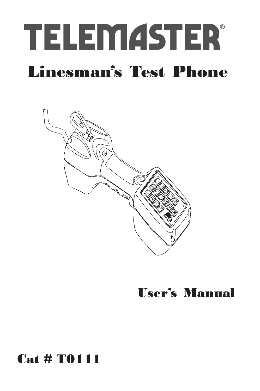



# User's Manual

# Cat # T0111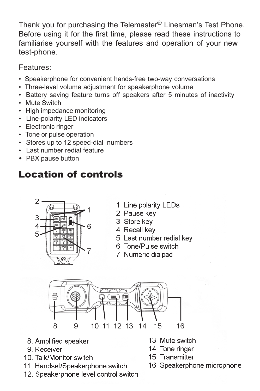Thank you for purchasing the Telemaster® Linesman's Test Phone. Before using it for the first time, please read these instructions to familiarise yourself with the features and operation of your new test-phone.

Features:

- Speakerphone for convenient hands-free two-way conversations
- Three-level volume adjustment for speakerphone volume
- Battery saving feature turns off speakers after 5 minutes of inactivity
- Mute Switch
- High impedance monitoring
- Line-polarity LED indicators
- Electronic ringer
- Tone or pulse operation
- Stores up to 12 speed-dial numbers
- Last number redial feature
- PBX pause button

## Location of controls



- 1. Line polarity LEDs
- 2. Pause key
- 3. Store kev
- 4. Recall key
- 5. Last number redial key
- 6 Tone/Pulse switch
- 7. Numeric dialpad



- 8. Amplified speaker
- 9. Receiver
- 10. Talk/Monitor switch
- 11. Handset/Speakerphone switch
- 12. Speakerphone level control switch
- 13. Mute switch
- 14. Tone ringer
- 15. Transmitter
- 16. Speakerphone microphone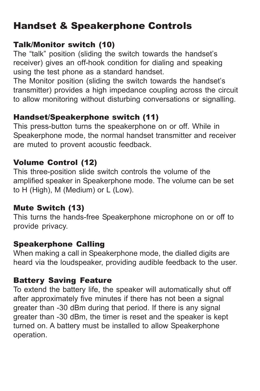### Handset & Speakerphone Controls

#### Talk/Monitor switch (10)

The "talk" position (sliding the switch towards the handset's receiver) gives an off-hook condition for dialing and speaking using the test phone as a standard handset.

The Monitor position (sliding the switch towards the handset's transmitter) provides a high impedance coupling across the circuit to allow monitoring without disturbing conversations or signalling.

#### Handset/Speakerphone switch (11)

This press-button turns the speakerphone on or off. While in Speakerphone mode, the normal handset transmitter and receiver are muted to provent acoustic feedback.

#### Volume Control (12)

This three-position slide switch controls the volume of the amplified speaker in Speakerphone mode. The volume can be set to H (High), M (Medium) or L (Low).

#### Mute Switch (13)

This turns the hands-free Speakerphone microphone on or off to provide privacy.

#### Speakerphone Calling

When making a call in Speakerphone mode, the dialled digits are heard via the loudspeaker, providing audible feedback to the user.

#### Battery Saving Feature

To extend the battery life, the speaker will automatically shut off after approximately five minutes if there has not been a signal greater than -30 dBm during that period. If there is any signal greater than -30 dBm, the timer is reset and the speaker is kept turned on. A battery must be installed to allow Speakerphone operation.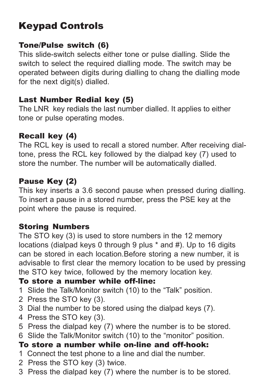## Keypad Controls

#### Tone/Pulse switch (6)

This slide-switch selects either tone or pulse dialling. Slide the switch to select the required dialling mode. The switch may be operated between digits during dialling to chang the dialling mode for the next digit(s) dialled.

#### Last Number Redial key (5)

The LNR key redials the last number dialled. It applies to either tone or pulse operating modes.

#### Recall key (4)

The RCL key is used to recall a stored number. After receiving dialtone, press the RCL key followed by the dialpad key (7) used to store the number. The number will be automatically dialled.

#### Pause Key (2)

This key inserts a 3.6 second pause when pressed during dialling. To insert a pause in a stored number, press the PSE key at the point where the pause is required.

#### Storing Numbers

The STO key (3) is used to store numbers in the 12 memory locations (dialpad keys 0 through 9 plus \* and #). Up to 16 digits can be stored in each location.Before storing a new number, it is advisable to first clear the memory location to be used by pressing the STO key twice, followed by the memory location key.

#### To store a number while off-line:

- 1 Slide the Talk/Monitor switch (10) to the "Talk" position.
- 2 Press the STO key (3).
- 3 Dial the number to be stored using the dialpad keys (7).
- 4 Press the STO key (3).
- 5 Press the dialpad key (7) where the number is to be stored.
- 6 Slide the Talk/Monitor switch (10) to the "monitor" position.

#### To store a number while on-line and off-hook:

- 1 Connect the test phone to a line and dial the number.
- 2 Press the STO key (3) twice.
- 3 Press the dialpad key (7) where the number is to be stored.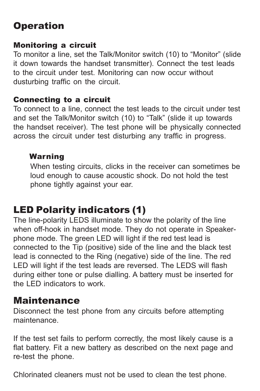### **Operation**

#### Monitoring a circuit

To monitor a line, set the Talk/Monitor switch (10) to "Monitor" (slide it down towards the handset transmitter). Connect the test leads to the circuit under test. Monitoring can now occur without dusturbing traffic on the circuit.

#### Connecting to a circuit

To connect to a line, connect the test leads to the circuit under test and set the Talk/Monitor switch (10) to "Talk" (slide it up towards the handset receiver). The test phone will be physically connected across the circuit under test disturbing any traffic in progress.

#### Warning

When testing circuits, clicks in the receiver can sometimes be loud enough to cause acoustic shock. Do not hold the test phone tightly against your ear.

### LED Polarity indicators (1)

The line-polarity LEDS illuminate to show the polarity of the line when off-hook in handset mode. They do not operate in Speakerphone mode. The green LED will light if the red test lead is connected to the Tip (positive) side of the line and the black test lead is connected to the Ring (negative) side of the line. The red LED will light if the test leads are reversed. The LEDS will flash during either tone or pulse dialling. A battery must be inserted for the LED indicators to work.

#### Maintenance

Disconnect the test phone from any circuits before attempting maintenance.

If the test set fails to perform correctly, the most likely cause is a flat battery. Fit a new battery as described on the next page and re-test the phone.

Chlorinated cleaners must not be used to clean the test phone.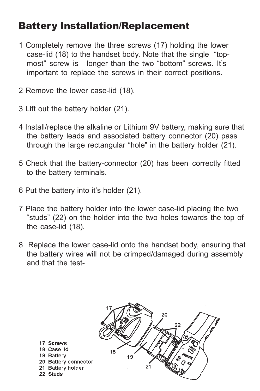### Battery Installation/Replacement

- 1 Completely remove the three screws (17) holding the lower case-lid (18) to the handset body. Note that the single "topmost" screw is longer than the two "bottom" screws. It's important to replace the screws in their correct positions.
- 2 Remove the lower case-lid (18).
- 3 Lift out the battery holder (21).
- 4 Install/replace the alkaline or Lithium 9V battery, making sure that the battery leads and associated battery connector (20) pass through the large rectangular "hole" in the battery holder (21).
- 5 Check that the battery-connector (20) has been correctly fitted to the battery terminals.
- 6 Put the battery into it's holder (21).
- 7 Place the battery holder into the lower case-lid placing the two "studs" (22) on the holder into the two holes towards the top of the case-lid (18).
- 8 Replace the lower case-lid onto the handset body, ensuring that the battery wires will not be crimped/damaged during assembly and that the test-

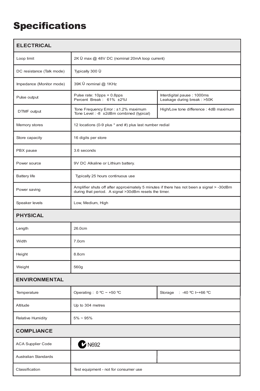## **Specifications**

| <b>ELECTRICAL</b>         |                                                                                                                                                    |                                                          |
|---------------------------|----------------------------------------------------------------------------------------------------------------------------------------------------|----------------------------------------------------------|
| Loop limit                | 2K U max @ 48V DC (nominal 20mA loop current)                                                                                                      |                                                          |
| DC resistance (Talk mode) | Typically 300 U                                                                                                                                    |                                                          |
| Impedance (Monitor mode)  | 39K Ù nominal @ 1KHz                                                                                                                               |                                                          |
| Pulse output              | Pulse rate: 10pps + 0.8pps<br>Percent Break: 61% ±2%I                                                                                              | Interdigital pause: 1000ms<br>Leakage during break: >50K |
| DTMF output               | Tone Frequency Error : ±1.2% maximum<br>Tone Level : - 8 ±2dBm combined (typical)                                                                  | High/Low tone difference : 4dB maximum                   |
| Memory stores             | 12 locations (0-9 plus * and #) plus last number redial                                                                                            |                                                          |
| Store capacity            | 16 digits per store                                                                                                                                |                                                          |
| PBX pause                 | 3.6 seconds                                                                                                                                        |                                                          |
| Power source              | 9V DC Alkaline or Lithium battery.                                                                                                                 |                                                          |
| Battery life              | Typically 25 hours continuous use                                                                                                                  |                                                          |
| Power saving              | Amplifier shuts off after approximately 5 minutes if there has not been a signal > -30dBm<br>during that period. A signal >30dBm resets the timer. |                                                          |
| Speaker levels            | Low, Medium, High                                                                                                                                  |                                                          |
| <b>PHYSICAL</b>           |                                                                                                                                                    |                                                          |
| Length                    | 26.0cm                                                                                                                                             |                                                          |
| Width                     | 7.0cm                                                                                                                                              |                                                          |
| Height                    | 8.8cm                                                                                                                                              |                                                          |
| Weight                    | 560g                                                                                                                                               |                                                          |
| <b>ENVIRONMENTAL</b>      |                                                                                                                                                    |                                                          |
| Temperature               | Operating : 0 °C ~ +50 °C                                                                                                                          | Storage : -40 °C t ~+66 °C                               |
| Altitude                  | Up to 304 metres                                                                                                                                   |                                                          |
| Relative Humidity         | $5\% - 95\%$                                                                                                                                       |                                                          |
| <b>COMPLIANCE</b>         |                                                                                                                                                    |                                                          |
| <b>ACA Supplier Code</b>  | $2$ N692                                                                                                                                           |                                                          |
| Australian Standards      |                                                                                                                                                    |                                                          |
| Classification            | Test equipment - not for consumer use                                                                                                              |                                                          |